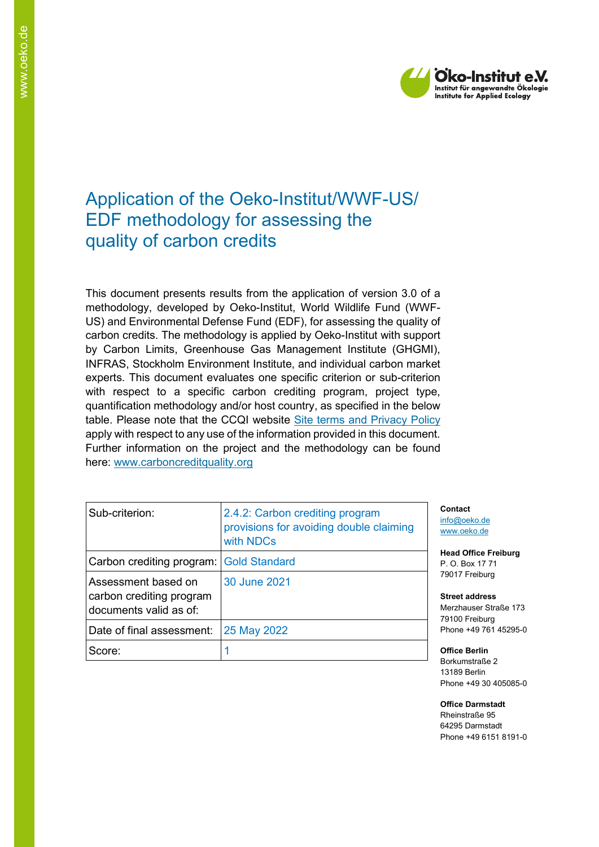

# Application of the Oeko-Institut/WWF-US/ EDF methodology for assessing the quality of carbon credits

This document presents results from the application of version 3.0 of a methodology, developed by Oeko-Institut, World Wildlife Fund (WWF-US) and Environmental Defense Fund (EDF), for assessing the quality of carbon credits. The methodology is applied by Oeko-Institut with support by Carbon Limits, Greenhouse Gas Management Institute (GHGMI), INFRAS, Stockholm Environment Institute, and individual carbon market experts. This document evaluates one specific criterion or sub-criterion with respect to a specific carbon crediting program, project type, quantification methodology and/or host country, as specified in the below table. Please note that the CCQI website [Site terms and Privacy Policy](https://carboncreditquality.org/terms.html) apply with respect to any use of the information provided in this document. Further information on the project and the methodology can be found here: [www.carboncreditquality.org](http://www.carboncreditquality.org/)

| Sub-criterion:                                                            | 2.4.2: Carbon crediting program<br>provisions for avoiding double claiming<br>with NDCs |
|---------------------------------------------------------------------------|-----------------------------------------------------------------------------------------|
| Carbon crediting program: Gold Standard                                   |                                                                                         |
| Assessment based on<br>carbon crediting program<br>documents valid as of: | 30 June 2021                                                                            |
| Date of final assessment:                                                 | 25 May 2022                                                                             |
| Score:                                                                    |                                                                                         |

**Contact** [info@oeko.de](mailto:info@oeko.de) [www.oeko.de](http://www.oeko.de/)

**Head Office Freiburg** P. O. Box 17 71 79017 Freiburg

**Street address** Merzhauser Straße 173 79100 Freiburg Phone +49 761 45295-0

**Office Berlin** Borkumstraße 2 13189 Berlin Phone +49 30 405085-0

**Office Darmstadt** Rheinstraße 95 64295 Darmstadt Phone +49 6151 8191-0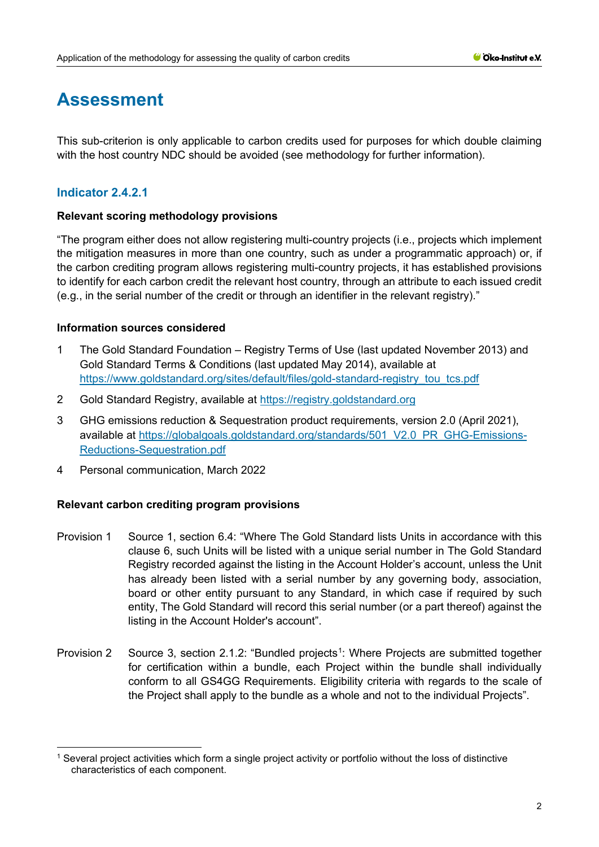# **Assessment**

This sub-criterion is only applicable to carbon credits used for purposes for which double claiming with the host country NDC should be avoided (see methodology for further information).

# **Indicator 2.4.2.1**

# **Relevant scoring methodology provisions**

"The program either does not allow registering multi-country projects (i.e., projects which implement the mitigation measures in more than one country, such as under a programmatic approach) or, if the carbon crediting program allows registering multi-country projects, it has established provisions to identify for each carbon credit the relevant host country, through an attribute to each issued credit (e.g., in the serial number of the credit or through an identifier in the relevant registry)."

# **Information sources considered**

- 1 The Gold Standard Foundation Registry Terms of Use (last updated November 2013) and Gold Standard Terms & Conditions (last updated May 2014), available at [https://www.goldstandard.org/sites/default/files/gold-standard-registry\\_tou\\_tcs.pdf](https://www.goldstandard.org/sites/default/files/gold-standard-registry_tou_tcs.pdf)
- 2 Gold Standard Registry, available at [https://registry.goldstandard.org](https://registry.goldstandard.org/)
- 3 GHG emissions reduction & Sequestration product requirements, version 2.0 (April 2021), available at [https://globalgoals.goldstandard.org/standards/501\\_V2.0\\_PR\\_GHG-Emissions-](https://globalgoals.goldstandard.org/standards/501_V2.0_PR_GHG-Emissions-Reductions-Sequestration.pdf)[Reductions-Sequestration.pdf](https://globalgoals.goldstandard.org/standards/501_V2.0_PR_GHG-Emissions-Reductions-Sequestration.pdf)
- 4 Personal communication, March 2022

- Provision 1 Source 1, section 6.4: "Where The Gold Standard lists Units in accordance with this clause 6, such Units will be listed with a unique serial number in The Gold Standard Registry recorded against the listing in the Account Holder's account, unless the Unit has already been listed with a serial number by any governing body, association, board or other entity pursuant to any Standard, in which case if required by such entity, The Gold Standard will record this serial number (or a part thereof) against the listing in the Account Holder's account".
- Provision 2 Source 3, section 2.[1](#page-1-0).2: "Bundled projects<sup>1</sup>: Where Projects are submitted together for certification within a bundle, each Project within the bundle shall individually conform to all GS4GG Requirements. Eligibility criteria with regards to the scale of the Project shall apply to the bundle as a whole and not to the individual Projects".

<span id="page-1-0"></span><sup>1</sup> Several project activities which form a single project activity or portfolio without the loss of distinctive characteristics of each component.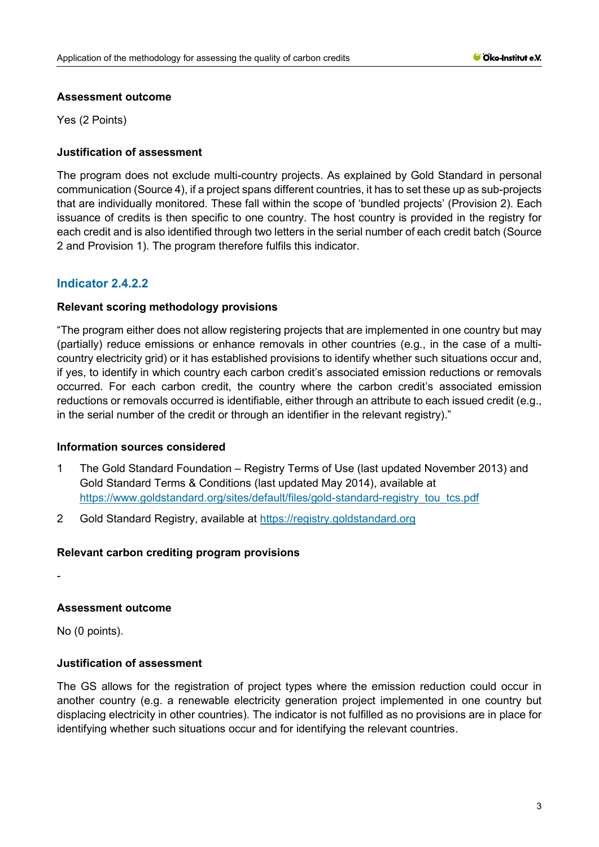#### **Assessment outcome**

Yes (2 Points)

## **Justification of assessment**

The program does not exclude multi-country projects. As explained by Gold Standard in personal communication (Source 4), if a project spans different countries, it has to set these up as sub-projects that are individually monitored. These fall within the scope of 'bundled projects' (Provision 2). Each issuance of credits is then specific to one country. The host country is provided in the registry for each credit and is also identified through two letters in the serial number of each credit batch (Source 2 and Provision 1). The program therefore fulfils this indicator.

# **Indicator 2.4.2.2**

#### **Relevant scoring methodology provisions**

"The program either does not allow registering projects that are implemented in one country but may (partially) reduce emissions or enhance removals in other countries (e.g., in the case of a multicountry electricity grid) or it has established provisions to identify whether such situations occur and, if yes, to identify in which country each carbon credit's associated emission reductions or removals occurred. For each carbon credit, the country where the carbon credit's associated emission reductions or removals occurred is identifiable, either through an attribute to each issued credit (e.g., in the serial number of the credit or through an identifier in the relevant registry)."

#### **Information sources considered**

- 1 The Gold Standard Foundation Registry Terms of Use (last updated November 2013) and Gold Standard Terms & Conditions (last updated May 2014), available at [https://www.goldstandard.org/sites/default/files/gold-standard-registry\\_tou\\_tcs.pdf](https://www.goldstandard.org/sites/default/files/gold-standard-registry_tou_tcs.pdf)
- 2 Gold Standard Registry, available at [https://registry.goldstandard.org](https://registry.goldstandard.org/)

#### **Relevant carbon crediting program provisions**

-

# **Assessment outcome**

No (0 points).

# **Justification of assessment**

The GS allows for the registration of project types where the emission reduction could occur in another country (e.g. a renewable electricity generation project implemented in one country but displacing electricity in other countries). The indicator is not fulfilled as no provisions are in place for identifying whether such situations occur and for identifying the relevant countries.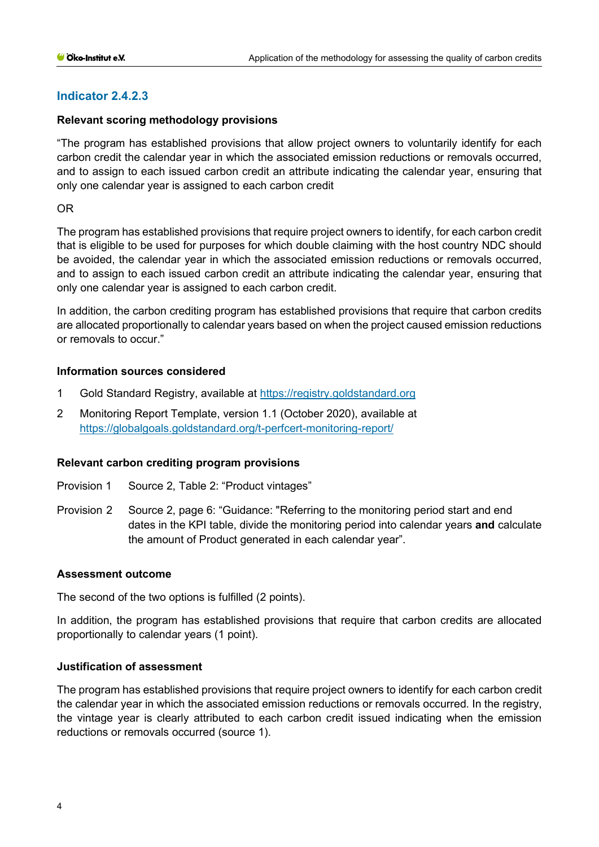# **Indicator 2.4.2.3**

#### **Relevant scoring methodology provisions**

"The program has established provisions that allow project owners to voluntarily identify for each carbon credit the calendar year in which the associated emission reductions or removals occurred, and to assign to each issued carbon credit an attribute indicating the calendar year, ensuring that only one calendar year is assigned to each carbon credit

OR

The program has established provisions that require project owners to identify, for each carbon credit that is eligible to be used for purposes for which double claiming with the host country NDC should be avoided, the calendar year in which the associated emission reductions or removals occurred, and to assign to each issued carbon credit an attribute indicating the calendar year, ensuring that only one calendar year is assigned to each carbon credit.

In addition, the carbon crediting program has established provisions that require that carbon credits are allocated proportionally to calendar years based on when the project caused emission reductions or removals to occur."

# **Information sources considered**

- 1 Gold Standard Registry, available at [https://registry.goldstandard.org](https://registry.goldstandard.org/)
- 2 Monitoring Report Template, version 1.1 (October 2020), available at <https://globalgoals.goldstandard.org/t-perfcert-monitoring-report/>

#### **Relevant carbon crediting program provisions**

- Provision 1 Source 2, Table 2: "Product vintages"
- Provision 2 Source 2, page 6: "Guidance: "Referring to the monitoring period start and end dates in the KPI table, divide the monitoring period into calendar years **and** calculate the amount of Product generated in each calendar year".

#### **Assessment outcome**

The second of the two options is fulfilled (2 points).

In addition, the program has established provisions that require that carbon credits are allocated proportionally to calendar years (1 point).

#### **Justification of assessment**

The program has established provisions that require project owners to identify for each carbon credit the calendar year in which the associated emission reductions or removals occurred. In the registry, the vintage year is clearly attributed to each carbon credit issued indicating when the emission reductions or removals occurred (source 1).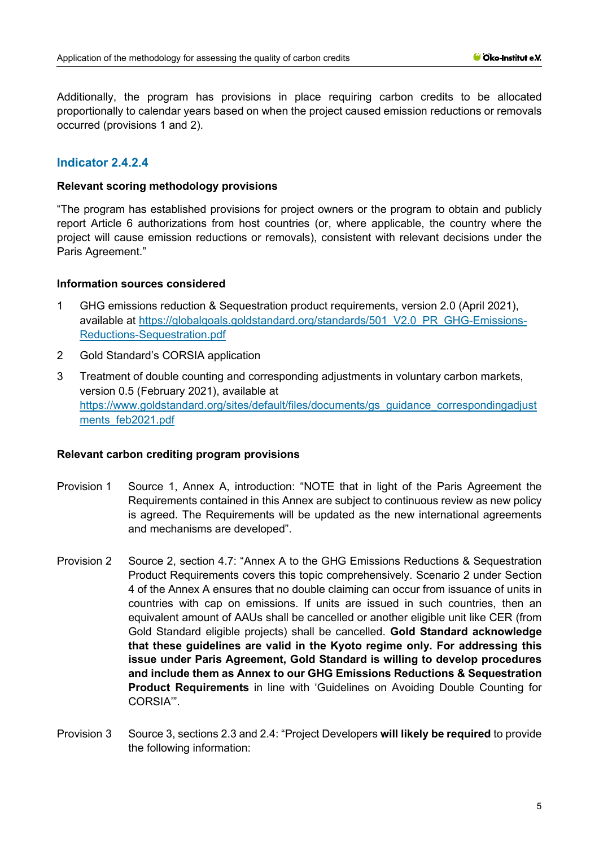Additionally, the program has provisions in place requiring carbon credits to be allocated proportionally to calendar years based on when the project caused emission reductions or removals occurred (provisions 1 and 2).

## **Indicator 2.4.2.4**

#### **Relevant scoring methodology provisions**

"The program has established provisions for project owners or the program to obtain and publicly report Article 6 authorizations from host countries (or, where applicable, the country where the project will cause emission reductions or removals), consistent with relevant decisions under the Paris Agreement."

#### **Information sources considered**

- 1 GHG emissions reduction & Sequestration product requirements, version 2.0 (April 2021), available at [https://globalgoals.goldstandard.org/standards/501\\_V2.0\\_PR\\_GHG-Emissions-](https://globalgoals.goldstandard.org/standards/501_V2.0_PR_GHG-Emissions-Reductions-Sequestration.pdf)[Reductions-Sequestration.pdf](https://globalgoals.goldstandard.org/standards/501_V2.0_PR_GHG-Emissions-Reductions-Sequestration.pdf)
- 2 Gold Standard's CORSIA application
- 3 Treatment of double counting and corresponding adjustments in voluntary carbon markets, version 0.5 (February 2021), available at [https://www.goldstandard.org/sites/default/files/documents/gs\\_guidance\\_correspondingadjust](https://www.goldstandard.org/sites/default/files/documents/gs_guidance_correspondingadjustments_feb2021.pdf) [ments\\_feb2021.pdf](https://www.goldstandard.org/sites/default/files/documents/gs_guidance_correspondingadjustments_feb2021.pdf)

- Provision 1 Source 1, Annex A, introduction: "NOTE that in light of the Paris Agreement the Requirements contained in this Annex are subject to continuous review as new policy is agreed. The Requirements will be updated as the new international agreements and mechanisms are developed".
- Provision 2 Source 2, section 4.7: "Annex A to the GHG Emissions Reductions & Sequestration Product Requirements covers this topic comprehensively. Scenario 2 under Section 4 of the Annex A ensures that no double claiming can occur from issuance of units in countries with cap on emissions. If units are issued in such countries, then an equivalent amount of AAUs shall be cancelled or another eligible unit like CER (from Gold Standard eligible projects) shall be cancelled. **Gold Standard acknowledge that these guidelines are valid in the Kyoto regime only. For addressing this issue under Paris Agreement, Gold Standard is willing to develop procedures and include them as Annex to our GHG Emissions Reductions & Sequestration Product Requirements** in line with 'Guidelines on Avoiding Double Counting for CORSIA'".
- Provision 3 Source 3, sections 2.3 and 2.4: "Project Developers **will likely be required** to provide the following information: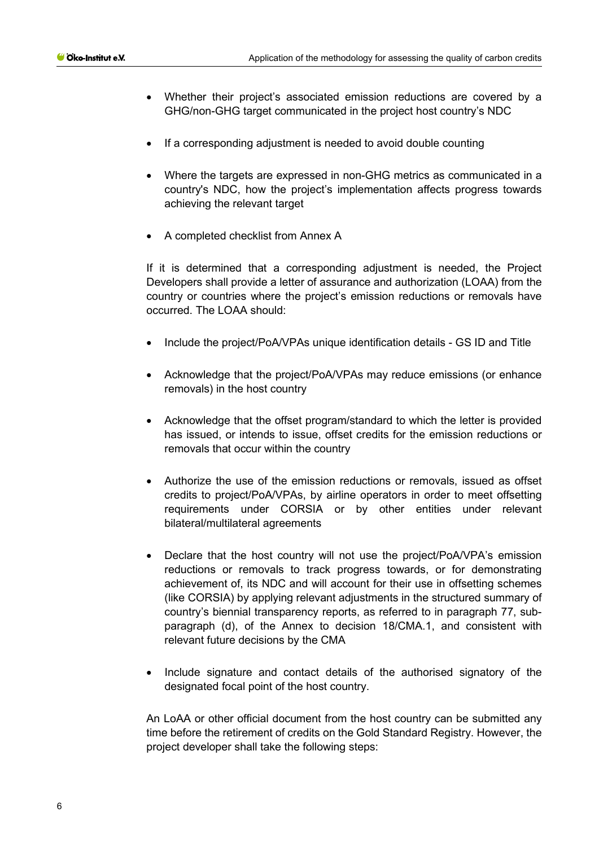- Whether their project's associated emission reductions are covered by a GHG/non-GHG target communicated in the project host country's NDC
- If a corresponding adjustment is needed to avoid double counting
- Where the targets are expressed in non-GHG metrics as communicated in a country's NDC, how the project's implementation affects progress towards achieving the relevant target
- A completed checklist from Annex A

If it is determined that a corresponding adjustment is needed, the Project Developers shall provide a letter of assurance and authorization (LOAA) from the country or countries where the project's emission reductions or removals have occurred. The LOAA should:

- Include the project/PoA/VPAs unique identification details GS ID and Title
- Acknowledge that the project/PoA/VPAs may reduce emissions (or enhance removals) in the host country
- Acknowledge that the offset program/standard to which the letter is provided has issued, or intends to issue, offset credits for the emission reductions or removals that occur within the country
- Authorize the use of the emission reductions or removals, issued as offset credits to project/PoA/VPAs, by airline operators in order to meet offsetting requirements under CORSIA or by other entities under relevant bilateral/multilateral agreements
- Declare that the host country will not use the project/PoA/VPA's emission reductions or removals to track progress towards, or for demonstrating achievement of, its NDC and will account for their use in offsetting schemes (like CORSIA) by applying relevant adjustments in the structured summary of country's biennial transparency reports, as referred to in paragraph 77, subparagraph (d), of the Annex to decision 18/CMA.1, and consistent with relevant future decisions by the CMA
- Include signature and contact details of the authorised signatory of the designated focal point of the host country.

An LoAA or other official document from the host country can be submitted any time before the retirement of credits on the Gold Standard Registry. However, the project developer shall take the following steps: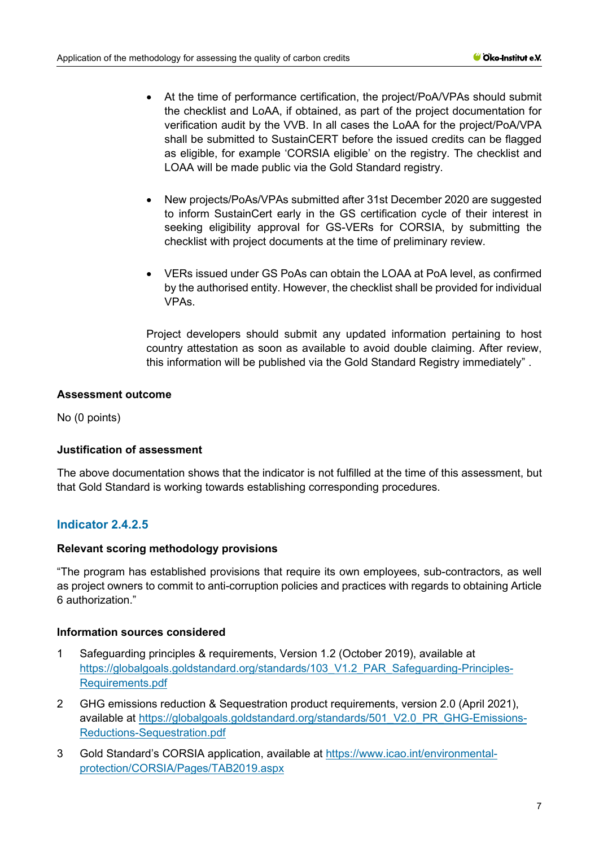- At the time of performance certification, the project/PoA/VPAs should submit the checklist and LoAA, if obtained, as part of the project documentation for verification audit by the VVB. In all cases the LoAA for the project/PoA/VPA shall be submitted to SustainCERT before the issued credits can be flagged as eligible, for example 'CORSIA eligible' on the registry. The checklist and LOAA will be made public via the Gold Standard registry.
- New projects/PoAs/VPAs submitted after 31st December 2020 are suggested to inform SustainCert early in the GS certification cycle of their interest in seeking eligibility approval for GS-VERs for CORSIA, by submitting the checklist with project documents at the time of preliminary review.
- VERs issued under GS PoAs can obtain the LOAA at PoA level, as confirmed by the authorised entity. However, the checklist shall be provided for individual VPAs.

Project developers should submit any updated information pertaining to host country attestation as soon as available to avoid double claiming. After review, this information will be published via the Gold Standard Registry immediately" .

# **Assessment outcome**

No (0 points)

# **Justification of assessment**

The above documentation shows that the indicator is not fulfilled at the time of this assessment, but that Gold Standard is working towards establishing corresponding procedures.

# **Indicator 2.4.2.5**

# **Relevant scoring methodology provisions**

"The program has established provisions that require its own employees, sub-contractors, as well as project owners to commit to anti-corruption policies and practices with regards to obtaining Article 6 authorization."

#### **Information sources considered**

- 1 Safeguarding principles & requirements, Version 1.2 (October 2019), available at [https://globalgoals.goldstandard.org/standards/103\\_V1.2\\_PAR\\_Safeguarding-Principles-](https://globalgoals.goldstandard.org/standards/103_V1.2_PAR_Safeguarding-Principles-Requirements.pdf)[Requirements.pdf](https://globalgoals.goldstandard.org/standards/103_V1.2_PAR_Safeguarding-Principles-Requirements.pdf)
- 2 GHG emissions reduction & Sequestration product requirements, version 2.0 (April 2021), available at [https://globalgoals.goldstandard.org/standards/501\\_V2.0\\_PR\\_GHG-Emissions-](https://globalgoals.goldstandard.org/standards/501_V2.0_PR_GHG-Emissions-Reductions-Sequestration.pdf)[Reductions-Sequestration.pdf](https://globalgoals.goldstandard.org/standards/501_V2.0_PR_GHG-Emissions-Reductions-Sequestration.pdf)
- 3 Gold Standard's CORSIA application, available at [https://www.icao.int/environmental](https://www.icao.int/environmental-protection/CORSIA/Pages/TAB2019.aspx)[protection/CORSIA/Pages/TAB2019.aspx](https://www.icao.int/environmental-protection/CORSIA/Pages/TAB2019.aspx)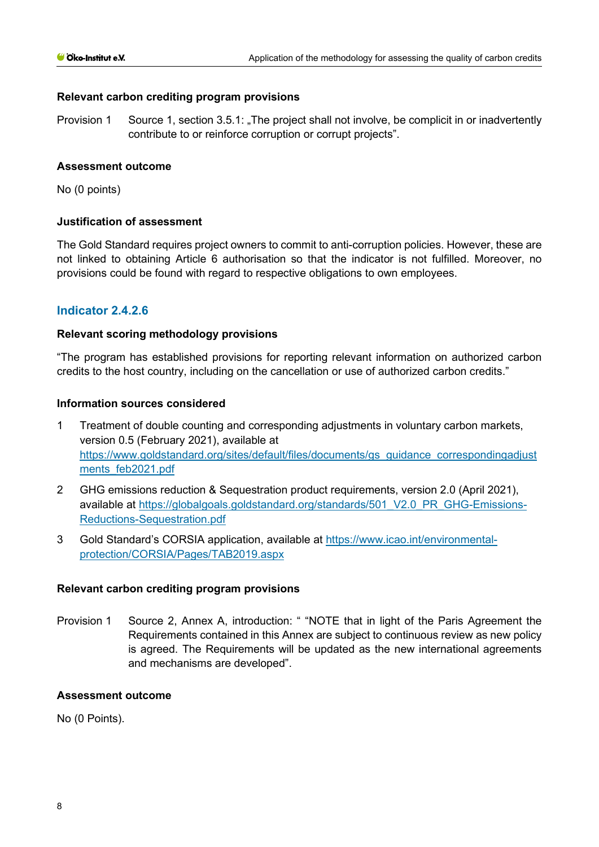#### **Relevant carbon crediting program provisions**

Provision 1 Source 1, section 3.5.1: "The project shall not involve, be complicit in or inadvertently contribute to or reinforce corruption or corrupt projects".

#### **Assessment outcome**

No (0 points)

#### **Justification of assessment**

The Gold Standard requires project owners to commit to anti-corruption policies. However, these are not linked to obtaining Article 6 authorisation so that the indicator is not fulfilled. Moreover, no provisions could be found with regard to respective obligations to own employees.

## **Indicator 2.4.2.6**

#### **Relevant scoring methodology provisions**

"The program has established provisions for reporting relevant information on authorized carbon credits to the host country, including on the cancellation or use of authorized carbon credits."

#### **Information sources considered**

- 1 Treatment of double counting and corresponding adjustments in voluntary carbon markets, version 0.5 (February 2021), available at [https://www.goldstandard.org/sites/default/files/documents/gs\\_guidance\\_correspondingadjust](https://www.goldstandard.org/sites/default/files/documents/gs_guidance_correspondingadjustments_feb2021.pdf) [ments\\_feb2021.pdf](https://www.goldstandard.org/sites/default/files/documents/gs_guidance_correspondingadjustments_feb2021.pdf)
- 2 GHG emissions reduction & Sequestration product requirements, version 2.0 (April 2021), available at [https://globalgoals.goldstandard.org/standards/501\\_V2.0\\_PR\\_GHG-Emissions-](https://globalgoals.goldstandard.org/standards/501_V2.0_PR_GHG-Emissions-Reductions-Sequestration.pdf)[Reductions-Sequestration.pdf](https://globalgoals.goldstandard.org/standards/501_V2.0_PR_GHG-Emissions-Reductions-Sequestration.pdf)
- 3 Gold Standard's CORSIA application, available at [https://www.icao.int/environmental](https://www.icao.int/environmental-protection/CORSIA/Pages/TAB2019.aspx)[protection/CORSIA/Pages/TAB2019.aspx](https://www.icao.int/environmental-protection/CORSIA/Pages/TAB2019.aspx)

#### **Relevant carbon crediting program provisions**

Provision 1 Source 2, Annex A, introduction: " "NOTE that in light of the Paris Agreement the Requirements contained in this Annex are subject to continuous review as new policy is agreed. The Requirements will be updated as the new international agreements and mechanisms are developed".

#### **Assessment outcome**

No (0 Points).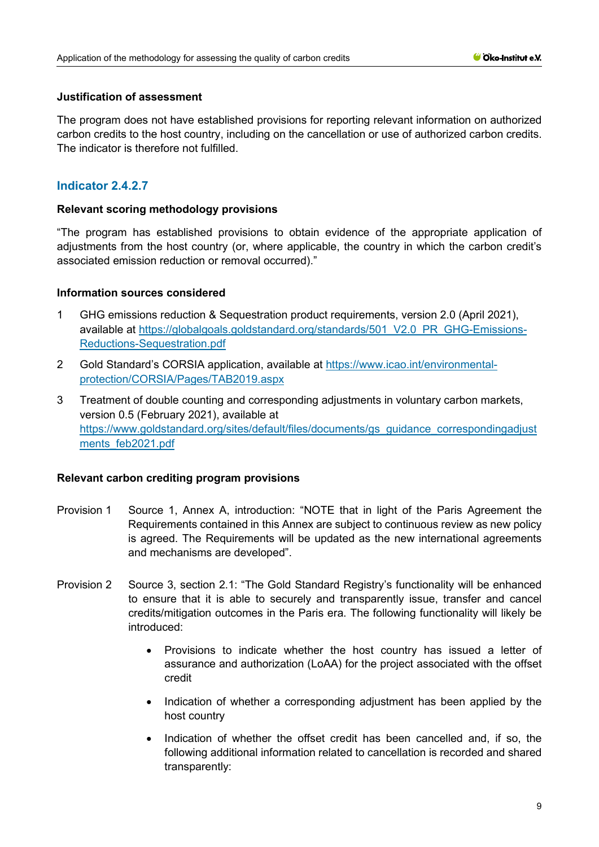#### **Justification of assessment**

The program does not have established provisions for reporting relevant information on authorized carbon credits to the host country, including on the cancellation or use of authorized carbon credits. The indicator is therefore not fulfilled.

# **Indicator 2.4.2.7**

#### **Relevant scoring methodology provisions**

"The program has established provisions to obtain evidence of the appropriate application of adjustments from the host country (or, where applicable, the country in which the carbon credit's associated emission reduction or removal occurred)."

#### **Information sources considered**

- 1 GHG emissions reduction & Sequestration product requirements, version 2.0 (April 2021), available at [https://globalgoals.goldstandard.org/standards/501\\_V2.0\\_PR\\_GHG-Emissions-](https://globalgoals.goldstandard.org/standards/501_V2.0_PR_GHG-Emissions-Reductions-Sequestration.pdf)[Reductions-Sequestration.pdf](https://globalgoals.goldstandard.org/standards/501_V2.0_PR_GHG-Emissions-Reductions-Sequestration.pdf)
- 2 Gold Standard's CORSIA application, available at [https://www.icao.int/environmental](https://www.icao.int/environmental-protection/CORSIA/Pages/TAB2019.aspx)[protection/CORSIA/Pages/TAB2019.aspx](https://www.icao.int/environmental-protection/CORSIA/Pages/TAB2019.aspx)
- 3 Treatment of double counting and corresponding adjustments in voluntary carbon markets, version 0.5 (February 2021), available at [https://www.goldstandard.org/sites/default/files/documents/gs\\_guidance\\_correspondingadjust](https://www.goldstandard.org/sites/default/files/documents/gs_guidance_correspondingadjustments_feb2021.pdf) [ments\\_feb2021.pdf](https://www.goldstandard.org/sites/default/files/documents/gs_guidance_correspondingadjustments_feb2021.pdf)

- Provision 1 Source 1, Annex A, introduction: "NOTE that in light of the Paris Agreement the Requirements contained in this Annex are subject to continuous review as new policy is agreed. The Requirements will be updated as the new international agreements and mechanisms are developed".
- Provision 2 Source 3, section 2.1: "The Gold Standard Registry's functionality will be enhanced to ensure that it is able to securely and transparently issue, transfer and cancel credits/mitigation outcomes in the Paris era. The following functionality will likely be introduced:
	- Provisions to indicate whether the host country has issued a letter of assurance and authorization (LoAA) for the project associated with the offset credit
	- Indication of whether a corresponding adjustment has been applied by the host country
	- Indication of whether the offset credit has been cancelled and, if so, the following additional information related to cancellation is recorded and shared transparently: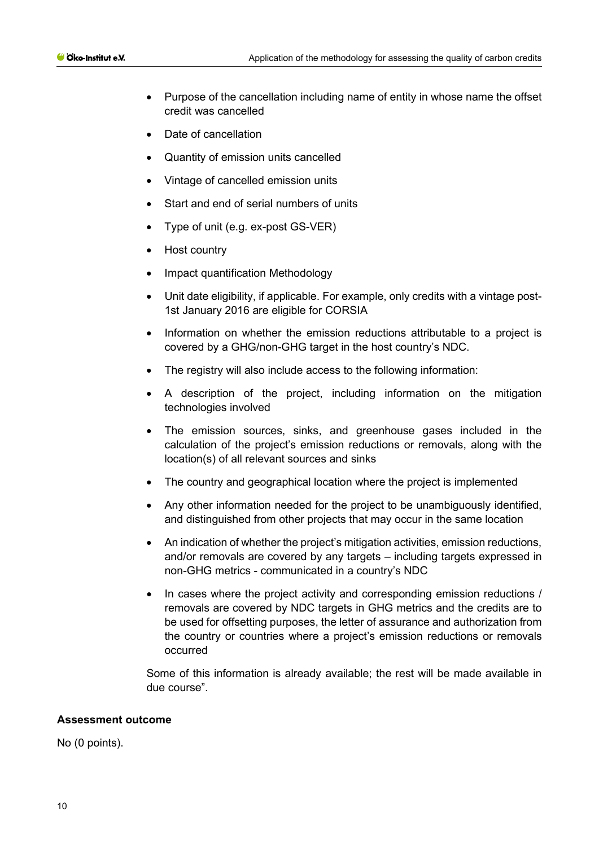- Purpose of the cancellation including name of entity in whose name the offset credit was cancelled
- Date of cancellation
- Quantity of emission units cancelled
- Vintage of cancelled emission units
- Start and end of serial numbers of units
- Type of unit (e.g. ex-post GS-VER)
- Host country
- Impact quantification Methodology
- Unit date eligibility, if applicable. For example, only credits with a vintage post-1st January 2016 are eligible for CORSIA
- Information on whether the emission reductions attributable to a project is covered by a GHG/non-GHG target in the host country's NDC.
- The registry will also include access to the following information:
- A description of the project, including information on the mitigation technologies involved
- The emission sources, sinks, and greenhouse gases included in the calculation of the project's emission reductions or removals, along with the location(s) of all relevant sources and sinks
- The country and geographical location where the project is implemented
- Any other information needed for the project to be unambiguously identified, and distinguished from other projects that may occur in the same location
- An indication of whether the project's mitigation activities, emission reductions, and/or removals are covered by any targets – including targets expressed in non-GHG metrics - communicated in a country's NDC
- In cases where the project activity and corresponding emission reductions / removals are covered by NDC targets in GHG metrics and the credits are to be used for offsetting purposes, the letter of assurance and authorization from the country or countries where a project's emission reductions or removals occurred

#### **Assessment outcome**

No (0 points).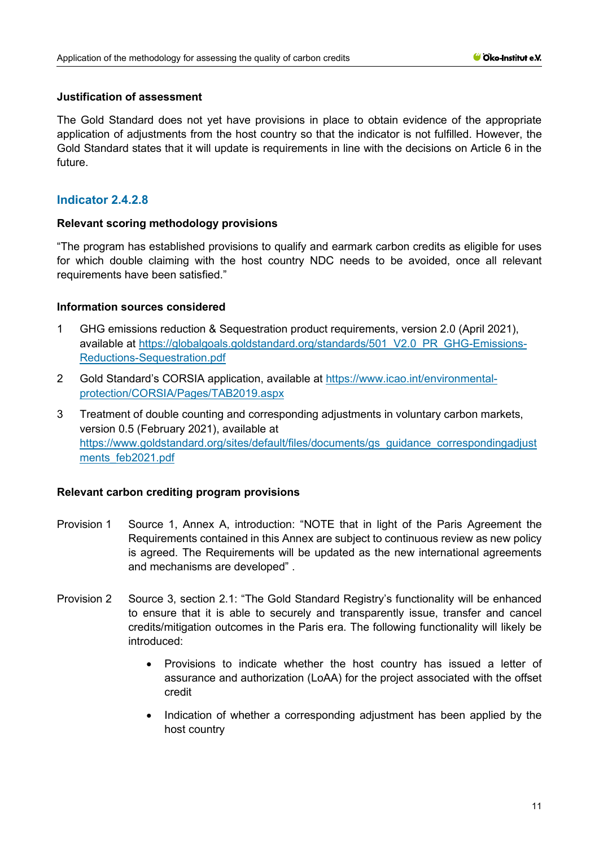#### **Justification of assessment**

The Gold Standard does not yet have provisions in place to obtain evidence of the appropriate application of adjustments from the host country so that the indicator is not fulfilled. However, the Gold Standard states that it will update is requirements in line with the decisions on Article 6 in the future.

# **Indicator 2.4.2.8**

#### **Relevant scoring methodology provisions**

"The program has established provisions to qualify and earmark carbon credits as eligible for uses for which double claiming with the host country NDC needs to be avoided, once all relevant requirements have been satisfied."

#### **Information sources considered**

- 1 GHG emissions reduction & Sequestration product requirements, version 2.0 (April 2021), available at [https://globalgoals.goldstandard.org/standards/501\\_V2.0\\_PR\\_GHG-Emissions-](https://globalgoals.goldstandard.org/standards/501_V2.0_PR_GHG-Emissions-Reductions-Sequestration.pdf)[Reductions-Sequestration.pdf](https://globalgoals.goldstandard.org/standards/501_V2.0_PR_GHG-Emissions-Reductions-Sequestration.pdf)
- 2 Gold Standard's CORSIA application, available at [https://www.icao.int/environmental](https://www.icao.int/environmental-protection/CORSIA/Pages/TAB2019.aspx)[protection/CORSIA/Pages/TAB2019.aspx](https://www.icao.int/environmental-protection/CORSIA/Pages/TAB2019.aspx)
- 3 Treatment of double counting and corresponding adjustments in voluntary carbon markets, version 0.5 (February 2021), available at [https://www.goldstandard.org/sites/default/files/documents/gs\\_guidance\\_correspondingadjust](https://www.goldstandard.org/sites/default/files/documents/gs_guidance_correspondingadjustments_feb2021.pdf) [ments\\_feb2021.pdf](https://www.goldstandard.org/sites/default/files/documents/gs_guidance_correspondingadjustments_feb2021.pdf)

- Provision 1 Source 1, Annex A, introduction: "NOTE that in light of the Paris Agreement the Requirements contained in this Annex are subject to continuous review as new policy is agreed. The Requirements will be updated as the new international agreements and mechanisms are developed" .
- Provision 2 Source 3, section 2.1: "The Gold Standard Registry's functionality will be enhanced to ensure that it is able to securely and transparently issue, transfer and cancel credits/mitigation outcomes in the Paris era. The following functionality will likely be introduced:
	- Provisions to indicate whether the host country has issued a letter of assurance and authorization (LoAA) for the project associated with the offset credit
	- Indication of whether a corresponding adjustment has been applied by the host country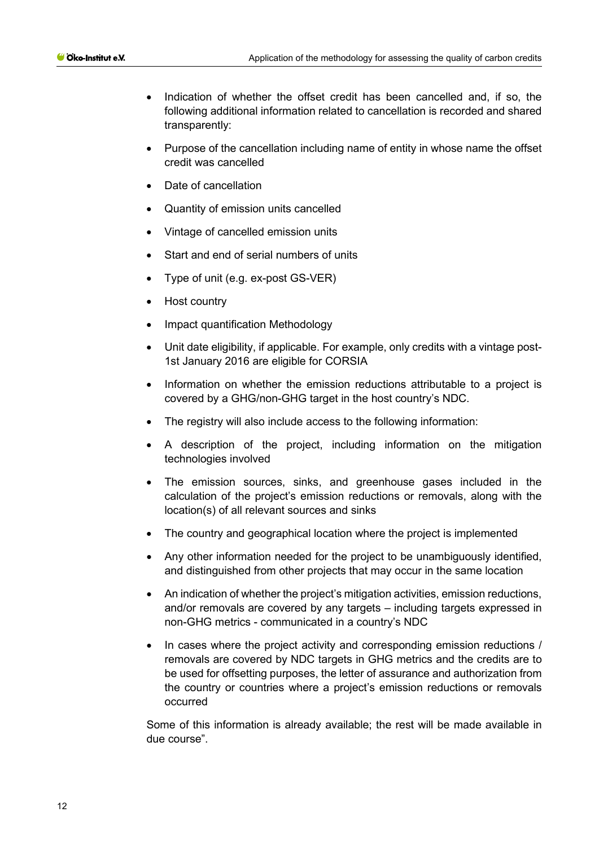- Indication of whether the offset credit has been cancelled and, if so, the following additional information related to cancellation is recorded and shared transparently:
- Purpose of the cancellation including name of entity in whose name the offset credit was cancelled
- Date of cancellation
- Quantity of emission units cancelled
- Vintage of cancelled emission units
- Start and end of serial numbers of units
- Type of unit (e.g. ex-post GS-VER)
- Host country
- Impact quantification Methodology
- Unit date eligibility, if applicable. For example, only credits with a vintage post-1st January 2016 are eligible for CORSIA
- Information on whether the emission reductions attributable to a project is covered by a GHG/non-GHG target in the host country's NDC.
- The registry will also include access to the following information:
- A description of the project, including information on the mitigation technologies involved
- The emission sources, sinks, and greenhouse gases included in the calculation of the project's emission reductions or removals, along with the location(s) of all relevant sources and sinks
- The country and geographical location where the project is implemented
- Any other information needed for the project to be unambiguously identified, and distinguished from other projects that may occur in the same location
- An indication of whether the project's mitigation activities, emission reductions, and/or removals are covered by any targets – including targets expressed in non-GHG metrics - communicated in a country's NDC
- In cases where the project activity and corresponding emission reductions / removals are covered by NDC targets in GHG metrics and the credits are to be used for offsetting purposes, the letter of assurance and authorization from the country or countries where a project's emission reductions or removals occurred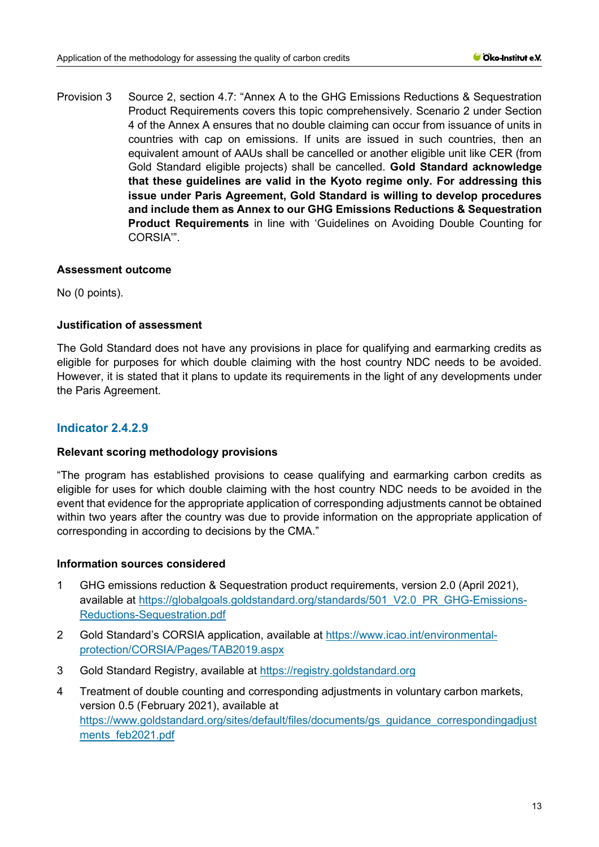Provision 3 Source 2, section 4.7: "Annex A to the GHG Emissions Reductions & Sequestration Product Requirements covers this topic comprehensively. Scenario 2 under Section 4 of the Annex A ensures that no double claiming can occur from issuance of units in countries with cap on emissions. If units are issued in such countries, then an equivalent amount of AAUs shall be cancelled or another eligible unit like CER (from Gold Standard eligible projects) shall be cancelled. **Gold Standard acknowledge that these guidelines are valid in the Kyoto regime only. For addressing this issue under Paris Agreement, Gold Standard is willing to develop procedures and include them as Annex to our GHG Emissions Reductions & Sequestration Product Requirements** in line with 'Guidelines on Avoiding Double Counting for CORSIA'".

#### **Assessment outcome**

No (0 points).

#### **Justification of assessment**

The Gold Standard does not have any provisions in place for qualifying and earmarking credits as eligible for purposes for which double claiming with the host country NDC needs to be avoided. However, it is stated that it plans to update its requirements in the light of any developments under the Paris Agreement.

## **Indicator 2.4.2.9**

#### **Relevant scoring methodology provisions**

"The program has established provisions to cease qualifying and earmarking carbon credits as eligible for uses for which double claiming with the host country NDC needs to be avoided in the event that evidence for the appropriate application of corresponding adjustments cannot be obtained within two years after the country was due to provide information on the appropriate application of corresponding in according to decisions by the CMA."

#### **Information sources considered**

- 1 GHG emissions reduction & Sequestration product requirements, version 2.0 (April 2021), available at [https://globalgoals.goldstandard.org/standards/501\\_V2.0\\_PR\\_GHG-Emissions-](https://globalgoals.goldstandard.org/standards/501_V2.0_PR_GHG-Emissions-Reductions-Sequestration.pdf)[Reductions-Sequestration.pdf](https://globalgoals.goldstandard.org/standards/501_V2.0_PR_GHG-Emissions-Reductions-Sequestration.pdf)
- 2 Gold Standard's CORSIA application, available at [https://www.icao.int/environmental](https://www.icao.int/environmental-protection/CORSIA/Pages/TAB2019.aspx)[protection/CORSIA/Pages/TAB2019.aspx](https://www.icao.int/environmental-protection/CORSIA/Pages/TAB2019.aspx)
- 3 Gold Standard Registry, available at [https://registry.goldstandard.org](https://registry.goldstandard.org/)
- 4 Treatment of double counting and corresponding adjustments in voluntary carbon markets, version 0.5 (February 2021), available at [https://www.goldstandard.org/sites/default/files/documents/gs\\_guidance\\_correspondingadjust](https://www.goldstandard.org/sites/default/files/documents/gs_guidance_correspondingadjustments_feb2021.pdf) [ments\\_feb2021.pdf](https://www.goldstandard.org/sites/default/files/documents/gs_guidance_correspondingadjustments_feb2021.pdf)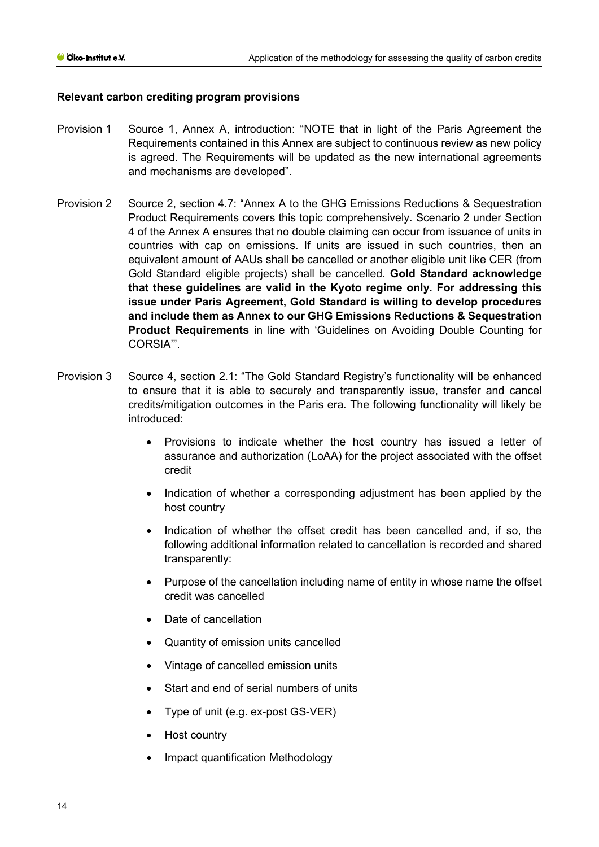- Provision 1 Source 1, Annex A, introduction: "NOTE that in light of the Paris Agreement the Requirements contained in this Annex are subject to continuous review as new policy is agreed. The Requirements will be updated as the new international agreements and mechanisms are developed".
- Provision 2 Source 2, section 4.7: "Annex A to the GHG Emissions Reductions & Sequestration Product Requirements covers this topic comprehensively. Scenario 2 under Section 4 of the Annex A ensures that no double claiming can occur from issuance of units in countries with cap on emissions. If units are issued in such countries, then an equivalent amount of AAUs shall be cancelled or another eligible unit like CER (from Gold Standard eligible projects) shall be cancelled. **Gold Standard acknowledge that these guidelines are valid in the Kyoto regime only. For addressing this issue under Paris Agreement, Gold Standard is willing to develop procedures and include them as Annex to our GHG Emissions Reductions & Sequestration Product Requirements** in line with 'Guidelines on Avoiding Double Counting for CORSIA'".
- Provision 3 Source 4, section 2.1: "The Gold Standard Registry's functionality will be enhanced to ensure that it is able to securely and transparently issue, transfer and cancel credits/mitigation outcomes in the Paris era. The following functionality will likely be introduced:
	- Provisions to indicate whether the host country has issued a letter of assurance and authorization (LoAA) for the project associated with the offset credit
	- Indication of whether a corresponding adjustment has been applied by the host country
	- Indication of whether the offset credit has been cancelled and, if so, the following additional information related to cancellation is recorded and shared transparently:
	- Purpose of the cancellation including name of entity in whose name the offset credit was cancelled
	- Date of cancellation
	- Quantity of emission units cancelled
	- Vintage of cancelled emission units
	- Start and end of serial numbers of units
	- Type of unit (e.g. ex-post GS-VER)
	- Host country
	- Impact quantification Methodology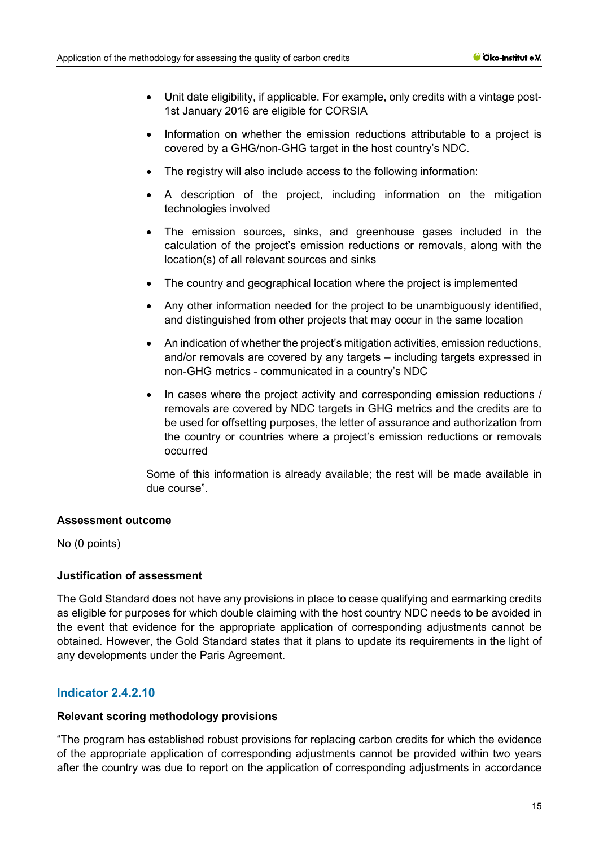- Unit date eligibility, if applicable. For example, only credits with a vintage post-1st January 2016 are eligible for CORSIA
- Information on whether the emission reductions attributable to a project is covered by a GHG/non-GHG target in the host country's NDC.
- The registry will also include access to the following information:
- A description of the project, including information on the mitigation technologies involved
- The emission sources, sinks, and greenhouse gases included in the calculation of the project's emission reductions or removals, along with the location(s) of all relevant sources and sinks
- The country and geographical location where the project is implemented
- Any other information needed for the project to be unambiguously identified, and distinguished from other projects that may occur in the same location
- An indication of whether the project's mitigation activities, emission reductions, and/or removals are covered by any targets – including targets expressed in non-GHG metrics - communicated in a country's NDC
- In cases where the project activity and corresponding emission reductions / removals are covered by NDC targets in GHG metrics and the credits are to be used for offsetting purposes, the letter of assurance and authorization from the country or countries where a project's emission reductions or removals occurred

#### **Assessment outcome**

No (0 points)

#### **Justification of assessment**

The Gold Standard does not have any provisions in place to cease qualifying and earmarking credits as eligible for purposes for which double claiming with the host country NDC needs to be avoided in the event that evidence for the appropriate application of corresponding adjustments cannot be obtained. However, the Gold Standard states that it plans to update its requirements in the light of any developments under the Paris Agreement.

#### **Indicator 2.4.2.10**

#### **Relevant scoring methodology provisions**

"The program has established robust provisions for replacing carbon credits for which the evidence of the appropriate application of corresponding adjustments cannot be provided within two years after the country was due to report on the application of corresponding adjustments in accordance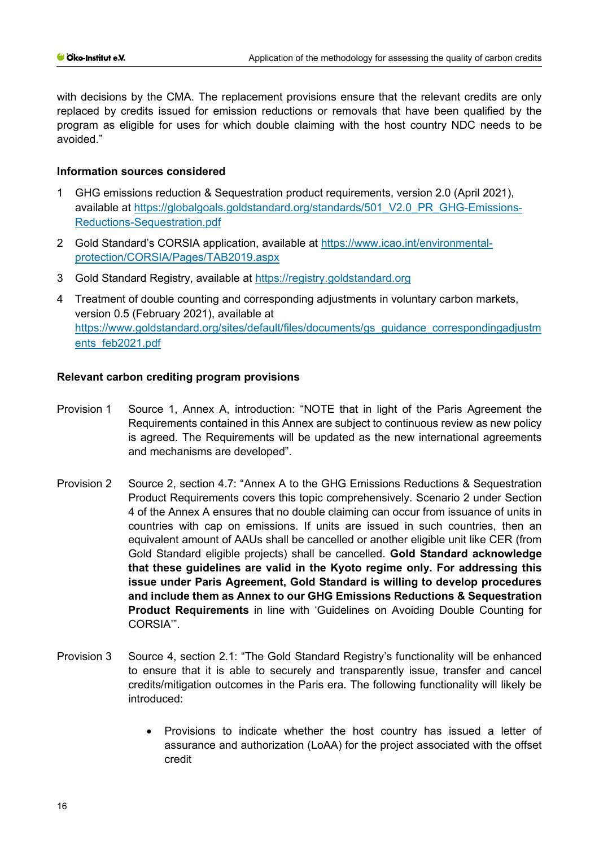with decisions by the CMA. The replacement provisions ensure that the relevant credits are only replaced by credits issued for emission reductions or removals that have been qualified by the program as eligible for uses for which double claiming with the host country NDC needs to be avoided."

## **Information sources considered**

- 1 GHG emissions reduction & Sequestration product requirements, version 2.0 (April 2021), available at [https://globalgoals.goldstandard.org/standards/501\\_V2.0\\_PR\\_GHG-Emissions-](https://globalgoals.goldstandard.org/standards/501_V2.0_PR_GHG-Emissions-Reductions-Sequestration.pdf)[Reductions-Sequestration.pdf](https://globalgoals.goldstandard.org/standards/501_V2.0_PR_GHG-Emissions-Reductions-Sequestration.pdf)
- 2 Gold Standard's CORSIA application, available at [https://www.icao.int/environmental](https://www.icao.int/environmental-protection/CORSIA/Pages/TAB2019.aspx)[protection/CORSIA/Pages/TAB2019.aspx](https://www.icao.int/environmental-protection/CORSIA/Pages/TAB2019.aspx)
- 3 Gold Standard Registry, available at [https://registry.goldstandard.org](https://registry.goldstandard.org/)
- 4 Treatment of double counting and corresponding adjustments in voluntary carbon markets, version 0.5 (February 2021), available at [https://www.goldstandard.org/sites/default/files/documents/gs\\_guidance\\_correspondingadjustm](https://www.goldstandard.org/sites/default/files/documents/gs_guidance_correspondingadjustments_feb2021.pdf) [ents\\_feb2021.pdf](https://www.goldstandard.org/sites/default/files/documents/gs_guidance_correspondingadjustments_feb2021.pdf)

- Provision 1 Source 1, Annex A, introduction: "NOTE that in light of the Paris Agreement the Requirements contained in this Annex are subject to continuous review as new policy is agreed. The Requirements will be updated as the new international agreements and mechanisms are developed".
- Provision 2 Source 2, section 4.7: "Annex A to the GHG Emissions Reductions & Sequestration Product Requirements covers this topic comprehensively. Scenario 2 under Section 4 of the Annex A ensures that no double claiming can occur from issuance of units in countries with cap on emissions. If units are issued in such countries, then an equivalent amount of AAUs shall be cancelled or another eligible unit like CER (from Gold Standard eligible projects) shall be cancelled. **Gold Standard acknowledge that these guidelines are valid in the Kyoto regime only. For addressing this issue under Paris Agreement, Gold Standard is willing to develop procedures and include them as Annex to our GHG Emissions Reductions & Sequestration Product Requirements** in line with 'Guidelines on Avoiding Double Counting for CORSIA'".
- Provision 3 Source 4, section 2.1: "The Gold Standard Registry's functionality will be enhanced to ensure that it is able to securely and transparently issue, transfer and cancel credits/mitigation outcomes in the Paris era. The following functionality will likely be introduced:
	- Provisions to indicate whether the host country has issued a letter of assurance and authorization (LoAA) for the project associated with the offset credit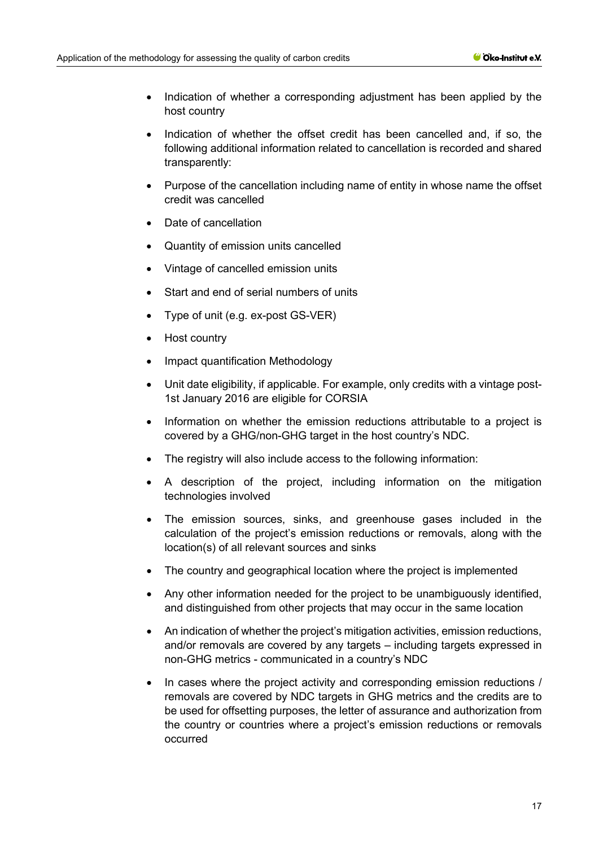- Indication of whether a corresponding adjustment has been applied by the host country
- Indication of whether the offset credit has been cancelled and, if so, the following additional information related to cancellation is recorded and shared transparently:
- Purpose of the cancellation including name of entity in whose name the offset credit was cancelled
- Date of cancellation
- Quantity of emission units cancelled
- Vintage of cancelled emission units
- Start and end of serial numbers of units
- Type of unit (e.g. ex-post GS-VER)
- Host country
- Impact quantification Methodology
- Unit date eligibility, if applicable. For example, only credits with a vintage post-1st January 2016 are eligible for CORSIA
- Information on whether the emission reductions attributable to a project is covered by a GHG/non-GHG target in the host country's NDC.
- The registry will also include access to the following information:
- A description of the project, including information on the mitigation technologies involved
- The emission sources, sinks, and greenhouse gases included in the calculation of the project's emission reductions or removals, along with the location(s) of all relevant sources and sinks
- The country and geographical location where the project is implemented
- Any other information needed for the project to be unambiguously identified, and distinguished from other projects that may occur in the same location
- An indication of whether the project's mitigation activities, emission reductions, and/or removals are covered by any targets – including targets expressed in non-GHG metrics - communicated in a country's NDC
- In cases where the project activity and corresponding emission reductions / removals are covered by NDC targets in GHG metrics and the credits are to be used for offsetting purposes, the letter of assurance and authorization from the country or countries where a project's emission reductions or removals occurred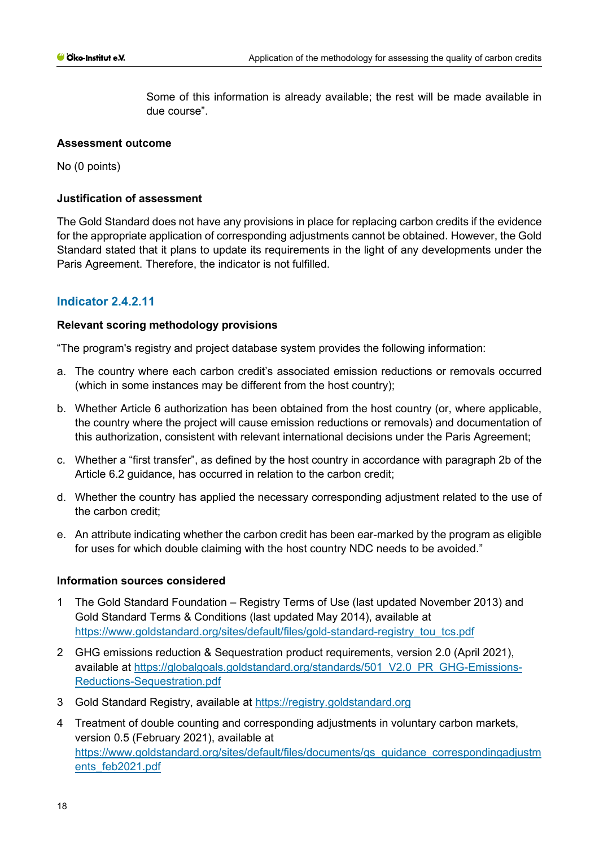#### **Assessment outcome**

No (0 points)

#### **Justification of assessment**

The Gold Standard does not have any provisions in place for replacing carbon credits if the evidence for the appropriate application of corresponding adjustments cannot be obtained. However, the Gold Standard stated that it plans to update its requirements in the light of any developments under the Paris Agreement. Therefore, the indicator is not fulfilled.

# **Indicator 2.4.2.11**

#### **Relevant scoring methodology provisions**

"The program's registry and project database system provides the following information:

- a. The country where each carbon credit's associated emission reductions or removals occurred (which in some instances may be different from the host country);
- b. Whether Article 6 authorization has been obtained from the host country (or, where applicable, the country where the project will cause emission reductions or removals) and documentation of this authorization, consistent with relevant international decisions under the Paris Agreement;
- c. Whether a "first transfer", as defined by the host country in accordance with paragraph 2b of the Article 6.2 guidance, has occurred in relation to the carbon credit;
- d. Whether the country has applied the necessary corresponding adjustment related to the use of the carbon credit;
- e. An attribute indicating whether the carbon credit has been ear-marked by the program as eligible for uses for which double claiming with the host country NDC needs to be avoided."

#### **Information sources considered**

- 1 The Gold Standard Foundation Registry Terms of Use (last updated November 2013) and Gold Standard Terms & Conditions (last updated May 2014), available at [https://www.goldstandard.org/sites/default/files/gold-standard-registry\\_tou\\_tcs.pdf](https://www.goldstandard.org/sites/default/files/gold-standard-registry_tou_tcs.pdf)
- 2 GHG emissions reduction & Sequestration product requirements, version 2.0 (April 2021), available at [https://globalgoals.goldstandard.org/standards/501\\_V2.0\\_PR\\_GHG-Emissions-](https://globalgoals.goldstandard.org/standards/501_V2.0_PR_GHG-Emissions-Reductions-Sequestration.pdf)[Reductions-Sequestration.pdf](https://globalgoals.goldstandard.org/standards/501_V2.0_PR_GHG-Emissions-Reductions-Sequestration.pdf)
- 3 Gold Standard Registry, available at [https://registry.goldstandard.org](https://registry.goldstandard.org/)
- 4 Treatment of double counting and corresponding adjustments in voluntary carbon markets, version 0.5 (February 2021), available at [https://www.goldstandard.org/sites/default/files/documents/gs\\_guidance\\_correspondingadjustm](https://www.goldstandard.org/sites/default/files/documents/gs_guidance_correspondingadjustments_feb2021.pdf) [ents\\_feb2021.pdf](https://www.goldstandard.org/sites/default/files/documents/gs_guidance_correspondingadjustments_feb2021.pdf)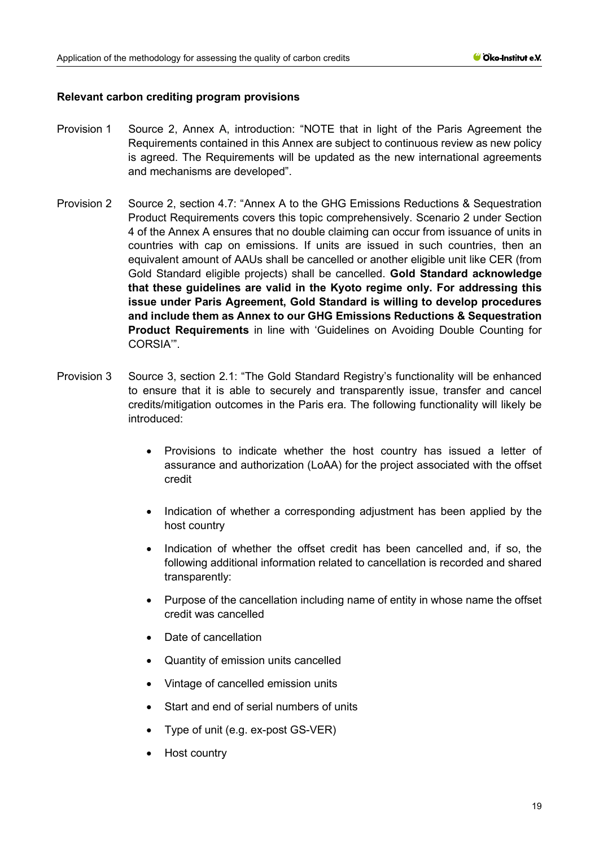- Provision 1 Source 2, Annex A, introduction: "NOTE that in light of the Paris Agreement the Requirements contained in this Annex are subject to continuous review as new policy is agreed. The Requirements will be updated as the new international agreements and mechanisms are developed".
- Provision 2 Source 2, section 4.7: "Annex A to the GHG Emissions Reductions & Sequestration Product Requirements covers this topic comprehensively. Scenario 2 under Section 4 of the Annex A ensures that no double claiming can occur from issuance of units in countries with cap on emissions. If units are issued in such countries, then an equivalent amount of AAUs shall be cancelled or another eligible unit like CER (from Gold Standard eligible projects) shall be cancelled. **Gold Standard acknowledge that these guidelines are valid in the Kyoto regime only. For addressing this issue under Paris Agreement, Gold Standard is willing to develop procedures and include them as Annex to our GHG Emissions Reductions & Sequestration Product Requirements** in line with 'Guidelines on Avoiding Double Counting for CORSIA'".
- Provision 3 Source 3, section 2.1: "The Gold Standard Registry's functionality will be enhanced to ensure that it is able to securely and transparently issue, transfer and cancel credits/mitigation outcomes in the Paris era. The following functionality will likely be introduced:
	- Provisions to indicate whether the host country has issued a letter of assurance and authorization (LoAA) for the project associated with the offset credit
	- Indication of whether a corresponding adjustment has been applied by the host country
	- Indication of whether the offset credit has been cancelled and, if so, the following additional information related to cancellation is recorded and shared transparently:
	- Purpose of the cancellation including name of entity in whose name the offset credit was cancelled
	- Date of cancellation
	- Quantity of emission units cancelled
	- Vintage of cancelled emission units
	- Start and end of serial numbers of units
	- Type of unit (e.g. ex-post GS-VER)
	- Host country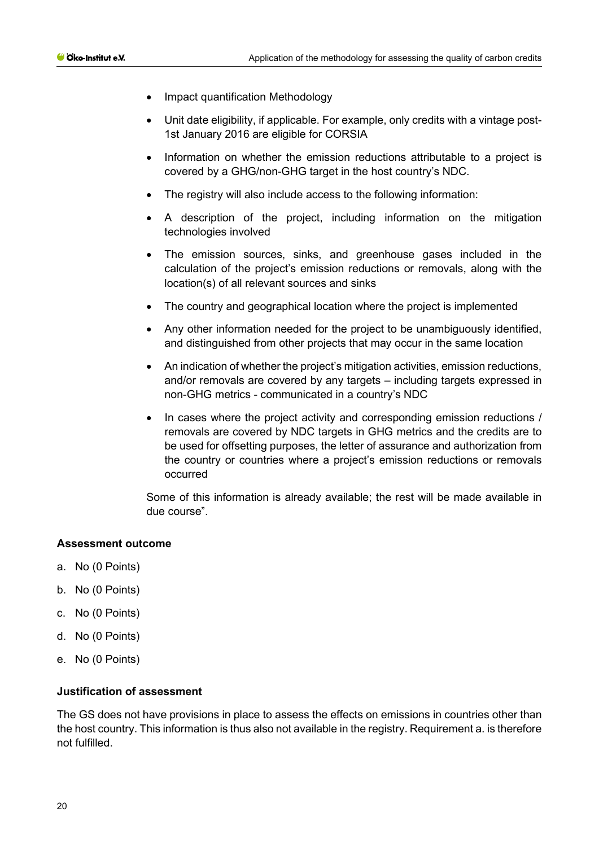- Impact quantification Methodology
- Unit date eligibility, if applicable. For example, only credits with a vintage post-1st January 2016 are eligible for CORSIA
- Information on whether the emission reductions attributable to a project is covered by a GHG/non-GHG target in the host country's NDC.
- The registry will also include access to the following information:
- A description of the project, including information on the mitigation technologies involved
- The emission sources, sinks, and greenhouse gases included in the calculation of the project's emission reductions or removals, along with the location(s) of all relevant sources and sinks
- The country and geographical location where the project is implemented
- Any other information needed for the project to be unambiguously identified, and distinguished from other projects that may occur in the same location
- An indication of whether the project's mitigation activities, emission reductions, and/or removals are covered by any targets – including targets expressed in non-GHG metrics - communicated in a country's NDC
- In cases where the project activity and corresponding emission reductions / removals are covered by NDC targets in GHG metrics and the credits are to be used for offsetting purposes, the letter of assurance and authorization from the country or countries where a project's emission reductions or removals occurred

#### **Assessment outcome**

- a. No (0 Points)
- b. No (0 Points)
- c. No (0 Points)
- d. No (0 Points)
- e. No (0 Points)

#### **Justification of assessment**

The GS does not have provisions in place to assess the effects on emissions in countries other than the host country. This information is thus also not available in the registry. Requirement a. is therefore not fulfilled.